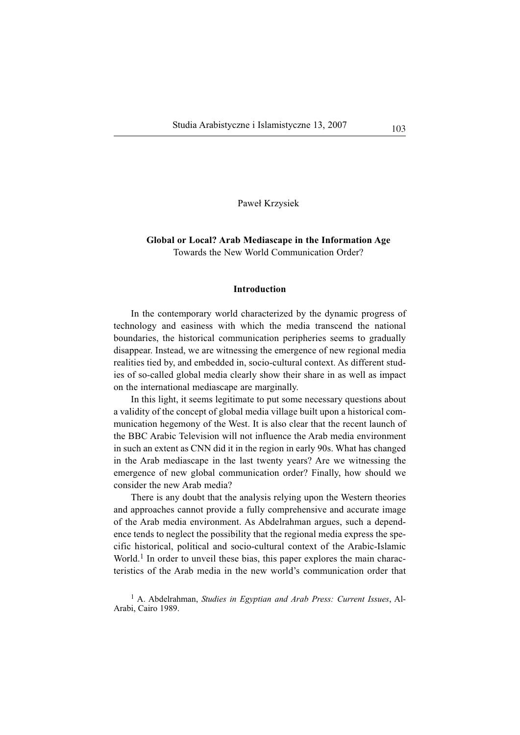Paweł Krzysiek

# **Global or Local? Arab Mediascape in the Information Age** Towards the New World Communication Order?

### **Introduction**

In the contemporary world characterized by the dynamic progress of technology and easiness with which the media transcend the national boundaries, the historical communication peripheries seems to gradually disappear. Instead, we are witnessing the emergence of new regional media realities tied by, and embedded in, socio-cultural context. As different studies of so-called global media clearly show their share in as well as impact on the international mediascape are marginally.

In this light, it seems legitimate to put some necessary questions about a validity of the concept of global media village built upon a historical communication hegemony of the West. It is also clear that the recent launch of the BBC Arabic Television will not influence the Arab media environment in such an extent as CNN did it in the region in early 90s. What has changed in the Arab mediascape in the last twenty years? Are we witnessing the emergence of new global communication order? Finally, how should we consider the new Arab media?

There is any doubt that the analysis relying upon the Western theories and approaches cannot provide a fully comprehensive and accurate image of the Arab media environment. As Abdelrahman argues, such a dependence tends to neglect the possibility that the regional media express the specific historical, political and socio-cultural context of the Arabic-Islamic World.<sup>1</sup> In order to unveil these bias, this paper explores the main characteristics of the Arab media in the new world's communication order that

<sup>1</sup> A. Abdelrahman, *Studies in Egyptian and Arab Press: Current Issues*, Al-Arabi, Cairo 1989.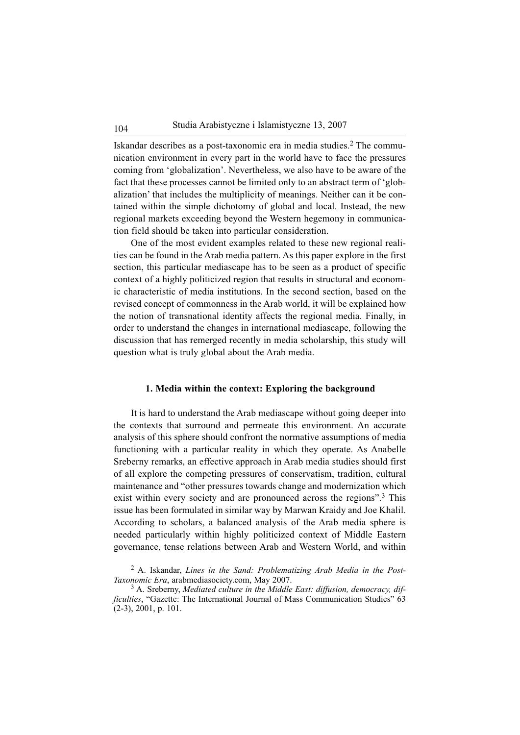Iskandar describes as a post-taxonomic era in media studies.<sup>2</sup> The communication environment in every part in the world have to face the pressures coming from 'globalization'. Nevertheless, we also have to be aware of the fact that these processes cannot be limited only to an abstract term of 'globalization' that includes the multiplicity of meanings. Neither can it be contained within the simple dichotomy of global and local. Instead, the new regional markets exceeding beyond the Western hegemony in communication field should be taken into particular consideration.

One of the most evident examples related to these new regional realities can be found in the Arab media pattern. As this paper explore in the first section, this particular mediascape has to be seen as a product of specific context of a highly politicized region that results in structural and economic characteristic of media institutions. In the second section, based on the revised concept of commonness in the Arab world, it will be explained how the notion of transnational identity affects the regional media. Finally, in order to understand the changes in international mediascape, following the discussion that has remerged recently in media scholarship, this study will question what is truly global about the Arab media.

### **1. Media within the context: Exploring the background**

It is hard to understand the Arab mediascape without going deeper into the contexts that surround and permeate this environment. An accurate analysis of this sphere should confront the normative assumptions of media functioning with a particular reality in which they operate. As Anabelle Sreberny remarks, an effective approach in Arab media studies should first of all explore the competing pressures of conservatism, tradition, cultural maintenance and "other pressures towards change and modernization which exist within every society and are pronounced across the regions".<sup>3</sup> This issue has been formulated in similar way by Marwan Kraidy and Joe Khalil. According to scholars, a balanced analysis of the Arab media sphere is needed particularly within highly politicized context of Middle Eastern governance, tense relations between Arab and Western World, and within

<sup>2</sup> A. Iskandar, *Lines in the Sand: Problematizing Arab Media in the Post-Taxonomic Era*, arabmediasociety.com, May 2007.

<sup>3</sup> A. Sreberny, *Mediated culture in the Middle East: diffusion, democracy, difficulties*, "Gazette: The International Journal of Mass Communication Studies" 63 (2-3), 2001, p. 101.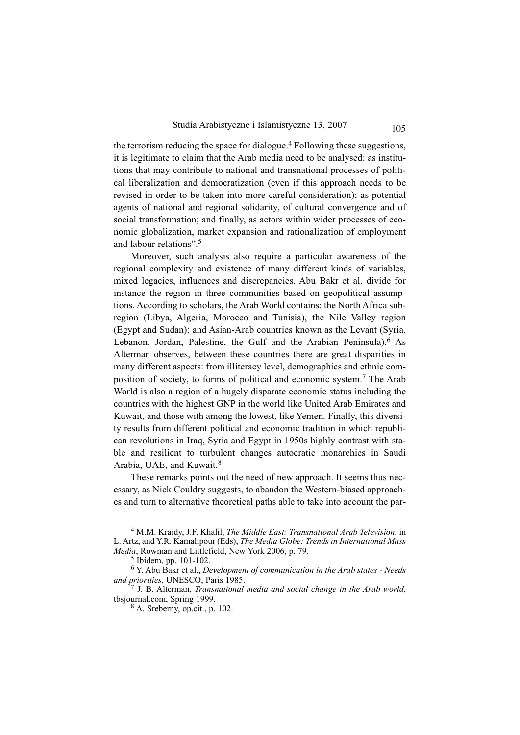the terrorism reducing the space for dialogue.<sup>4</sup> Following these suggestions, it is legitimate to claim that the Arab media need to be analysed: as institutions that may contribute to national and transnational processes of political liberalization and democratization (even if this approach needs to be revised in order to be taken into more careful consideration); as potential agents of national and regional solidarity, of cultural convergence and of social transformation; and finally, as actors within wider processes of economic globalization, market expansion and rationalization of employment and labour relations".<sup>5</sup>

Moreover, such analysis also require a particular awareness of the regional complexity and existence of many different kinds of variables, mixed legacies, influences and discrepancies. Abu Bakr et al. divide for instance the region in three communities based on geopolitical assumptions. According to scholars, the Arab World contains: the North Africa subregion (Libya, Algeria, Morocco and Tunisia), the Nile Valley region (Egypt and Sudan); and Asian-Arab countries known as the Levant (Syria, Lebanon, Jordan, Palestine, the Gulf and the Arabian Peninsula).<sup>6</sup> As Alterman observes, between these countries there are great disparities in many different aspects: from illiteracy level, demographics and ethnic composition of society, to forms of political and economic system.<sup>7</sup> The Arab World is also a region of a hugely disparate economic status including the countries with the highest GNP in the world like United Arab Emirates and Kuwait, and those with among the lowest, like Yemen. Finally, this diversity results from different political and economic tradition in which republican revolutions in Iraq, Syria and Egypt in 1950s highly contrast with stable and resilient to turbulent changes autocratic monarchies in Saudi Arabia, UAE, and Kuwait.<sup>8</sup>

These remarks points out the need of new approach. It seems thus necessary, as Nick Couldry suggests, to abandon the Western-biased approaches and turn to alternative theoretical paths able to take into account the par-

<sup>4</sup> M.M. Kraidy, J.F. Khalil, *The Middle East: Transnational Arab Television*, in L. Artz, and Y.R. Kamalipour (Eds), *The Media Globe: Trends in International Mass Media*, Rowman and Littlefield, New York 2006, p. 79.

<sup>6</sup> Y. Abu Bakr et al., *Development of communication in the Arab states - Needs and priorities*, UNESCO, Paris 1985.

<sup>7</sup> J. B. Alterman, *Transnational media and social change in the Arab world*, tbsjournal.com, Spring 1999.

<sup>8</sup> A. Sreberny, op.cit., p. 102.

<sup>5</sup> Ibidem, pp. 101-102.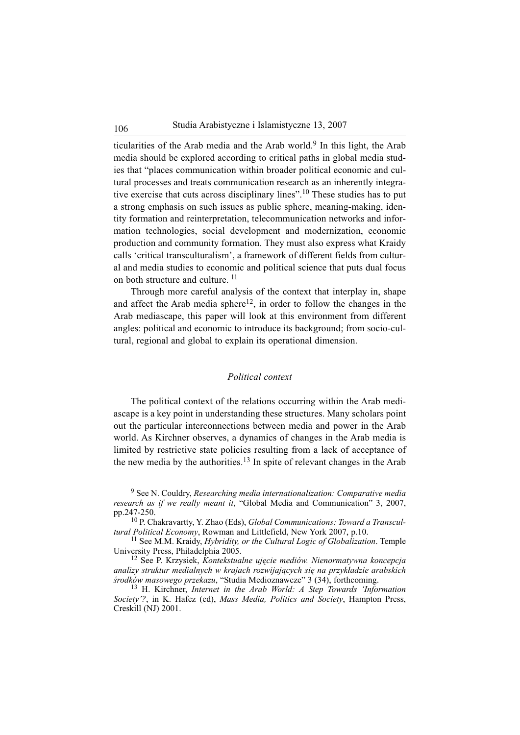ticularities of the Arab media and the Arab world. $9$  In this light, the Arab media should be explored according to critical paths in global media studies that "places communication within broader political economic and cultural processes and treats communication research as an inherently integrative exercise that cuts across disciplinary lines".<sup>10</sup> These studies has to put a strong emphasis on such issues as public sphere, meaning-making, identity formation and reinterpretation, telecommunication networks and information technologies, social development and modernization, economic production and community formation. They must also express what Kraidy calls 'critical transculturalism', a framework of different fields from cultural and media studies to economic and political science that puts dual focus on both structure and culture. <sup>11</sup>

Through more careful analysis of the context that interplay in, shape and affect the Arab media sphere<sup>12</sup>, in order to follow the changes in the Arab mediascape, this paper will look at this environment from different angles: political and economic to introduce its background; from socio-cultural, regional and global to explain its operational dimension.

## *Political context*

The political context of the relations occurring within the Arab mediascape is a key point in understanding these structures. Many scholars point out the particular interconnections between media and power in the Arab world. As Kirchner observes, a dynamics of changes in the Arab media is limited by restrictive state policies resulting from a lack of acceptance of the new media by the authorities. $13$  In spite of relevant changes in the Arab

<sup>11</sup> See M.M. Kraidy, *Hybridity, or the Cultural Logic of Globalization*. Temple University Press, Philadelphia 2005.

<sup>12</sup> See P. Krzysiek, *Kontekstualne ujęcie mediów. Nienormatywna koncepcja analizy struktur medialnych w krajach rozwijających się na przykładzie arabskich środków masowego przekazu*, "Studia Medioznawcze" 3 (34), forthcoming.

<sup>13</sup> H. Kirchner, *Internet in the Arab World: A Step Towards 'Information Society'?*, in K. Hafez (ed), *Mass Media, Politics and Society*, Hampton Press, Creskill (NJ) 2001.

<sup>9</sup> See N. Couldry, *Researching media internationalization: Comparative media research as if we really meant it*, "Global Media and Communication" 3, 2007, pp.247-250.

<sup>10</sup> P. Chakravartty, Y. Zhao (Eds), *Global Communications: Toward a Transcultural Political Economy*, Rowman and Littlefield, New York 2007, p.10.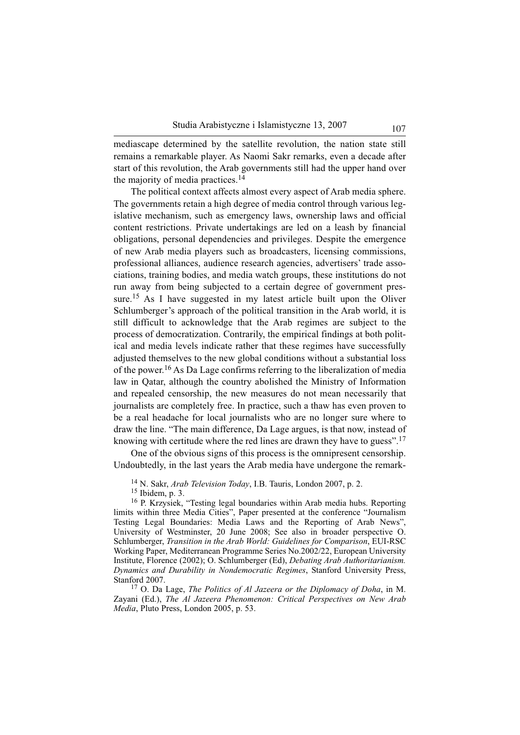mediascape determined by the satellite revolution, the nation state still remains a remarkable player. As Naomi Sakr remarks, even a decade after start of this revolution, the Arab governments still had the upper hand over the majority of media practices.<sup>14</sup>

The political context affects almost every aspect of Arab media sphere. The governments retain a high degree of media control through various legislative mechanism, such as emergency laws, ownership laws and official content restrictions. Private undertakings are led on a leash by financial obligations, personal dependencies and privileges. Despite the emergence of new Arab media players such as broadcasters, licensing commissions, professional alliances, audience research agencies, advertisers' trade associations, training bodies, and media watch groups, these institutions do not run away from being subjected to a certain degree of government pressure.<sup>15</sup> As I have suggested in my latest article built upon the Oliver Schlumberger's approach of the political transition in the Arab world, it is still difficult to acknowledge that the Arab regimes are subject to the process of democratization. Contrarily, the empirical findings at both political and media levels indicate rather that these regimes have successfully adjusted themselves to the new global conditions without a substantial loss of the power.<sup>16</sup> As Da Lage confirms referring to the liberalization of media law in Qatar, although the country abolished the Ministry of Information and repealed censorship, the new measures do not mean necessarily that journalists are completely free. In practice, such a thaw has even proven to be a real headache for local journalists who are no longer sure where to draw the line. "The main difference, Da Lage argues, is that now, instead of knowing with certitude where the red lines are drawn they have to guess".<sup>17</sup>

One of the obvious signs of this process is the omnipresent censorship. Undoubtedly, in the last years the Arab media have undergone the remark-

<sup>15</sup> Ibidem, p. 3.

<sup>16</sup> P. Krzysiek, "Testing legal boundaries within Arab media hubs. Reporting limits within three Media Cities", Paper presented at the conference "Journalism Testing Legal Boundaries: Media Laws and the Reporting of Arab News", University of Westminster, 20 June 2008; See also in broader perspective O. Schlumberger, *Transition in the Arab World: Guidelines for Comparison*, EUI-RSC Working Paper, Mediterranean Programme Series No.2002/22, European University Institute, Florence (2002); O. Schlumberger (Ed), *Debating Arab Authoritarianism. Dynamics and Durability in Nondemocratic Regimes*, Stanford University Press, Stanford 2007.

<sup>17</sup> O. Da Lage, *The Politics of Al Jazeera or the Diplomacy of Doha*, in M. Zayani (Ed.), *The Al Jazeera Phenomenon: Critical Perspectives on New Arab Media*, Pluto Press, London 2005, p. 53.

<sup>14</sup> N. Sakr, *Arab Television Today*, I.B. Tauris, London 2007, p. 2.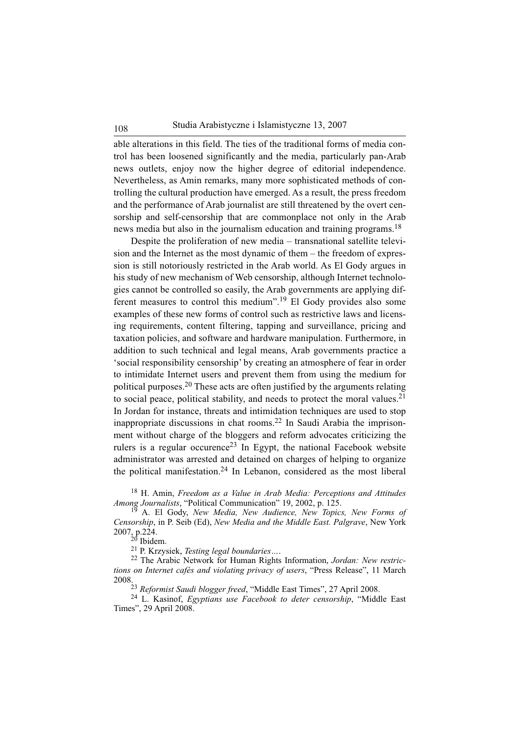able alterations in this field. The ties of the traditional forms of media control has been loosened significantly and the media, particularly pan-Arab news outlets, enjoy now the higher degree of editorial independence. Nevertheless, as Amin remarks, many more sophisticated methods of controlling the cultural production have emerged. As a result, the press freedom and the performance of Arab journalist are still threatened by the overt censorship and self-censorship that are commonplace not only in the Arab news media but also in the journalism education and training programs.<sup>18</sup>

Despite the proliferation of new media – transnational satellite television and the Internet as the most dynamic of them – the freedom of expression is still notoriously restricted in the Arab world. As El Gody argues in his study of new mechanism of Web censorship, although Internet technologies cannot be controlled so easily, the Arab governments are applying different measures to control this medium".<sup>19</sup> El Gody provides also some examples of these new forms of control such as restrictive laws and licensing requirements, content filtering, tapping and surveillance, pricing and taxation policies, and software and hardware manipulation. Furthermore, in addition to such technical and legal means, Arab governments practice a 'social responsibility censorship' by creating an atmosphere of fear in order to intimidate Internet users and prevent them from using the medium for political purposes.<sup>20</sup> These acts are often justified by the arguments relating to social peace, political stability, and needs to protect the moral values.<sup>21</sup> In Jordan for instance, threats and intimidation techniques are used to stop inappropriate discussions in chat rooms.<sup>22</sup> In Saudi Arabia the imprisonment without charge of the bloggers and reform advocates criticizing the rulers is a regular occurence<sup>23</sup> In Egypt, the national Facebook website administrator was arrested and detained on charges of helping to organize the political manifestation.<sup>24</sup> In Lebanon, considered as the most liberal

<sup>18</sup> H. Amin, *Freedom as a Value in Arab Media: Perceptions and Attitudes Among Journalists*, "Political Communication" 19, 2002, p. 125.

<sup>19</sup> A. El Gody, *New Media, New Audience, New Topics, New Forms of Censorship*, in P. Seib (Ed), *New Media and the Middle East. Palgrave*, New York 2007, p.224.

 $20$  Ibidem.

<sup>21</sup> P. Krzysiek, *Testing legal boundaries…*. 22 The Arabic Network for Human Rights Information, *Jordan: New restrictions on Internet cafés and violating privacy of users*, "Press Release", 11 March 2008.

<sup>23</sup> *Reformist Saudi blogger freed*, "Middle East Times", 27 April 2008.

<sup>24</sup> L. Kasinof, *Egyptians use Facebook to deter censorship*, "Middle East Times", 29 April 2008.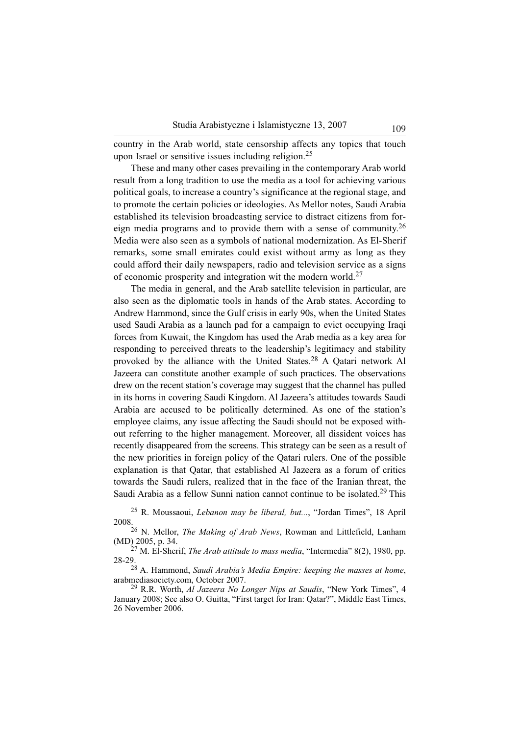country in the Arab world, state censorship affects any topics that touch upon Israel or sensitive issues including religion.<sup>25</sup>

These and many other cases prevailing in the contemporary Arab world result from a long tradition to use the media as a tool for achieving various political goals, to increase a country's significance at the regional stage, and to promote the certain policies or ideologies. As Mellor notes, Saudi Arabia established its television broadcasting service to distract citizens from foreign media programs and to provide them with a sense of community.<sup>26</sup> Media were also seen as a symbols of national modernization. As El-Sherif remarks, some small emirates could exist without army as long as they could afford their daily newspapers, radio and television service as a signs of economic prosperity and integration wit the modern world.<sup>27</sup>

The media in general, and the Arab satellite television in particular, are also seen as the diplomatic tools in hands of the Arab states. According to Andrew Hammond, since the Gulf crisis in early 90s, when the United States used Saudi Arabia as a launch pad for a campaign to evict occupying Iraqi forces from Kuwait, the Kingdom has used the Arab media as a key area for responding to perceived threats to the leadership's legitimacy and stability provoked by the alliance with the United States.28 A Qatari network Al Jazeera can constitute another example of such practices. The observations drew on the recent station's coverage may suggest that the channel has pulled in its horns in covering Saudi Kingdom. Al Jazeera's attitudes towards Saudi Arabia are accused to be politically determined. As one of the station's employee claims, any issue affecting the Saudi should not be exposed without referring to the higher management. Moreover, all dissident voices has recently disappeared from the screens. This strategy can be seen as a result of the new priorities in foreign policy of the Qatari rulers. One of the possible explanation is that Qatar, that established Al Jazeera as a forum of critics towards the Saudi rulers, realized that in the face of the Iranian threat, the Saudi Arabia as a fellow Sunni nation cannot continue to be isolated.<sup>29</sup> This

<sup>25</sup> R. Moussaoui, *Lebanon may be liberal, but...*, "Jordan Times", 18 April 2008.

<sup>26</sup> N. Mellor, *The Making of Arab News*, Rowman and Littlefield, Lanham (MD) 2005, p. 34.

<sup>27</sup> M. El-Sherif, *The Arab attitude to mass media*, "Intermedia" 8(2), 1980, pp. 28-29.

<sup>28</sup> A. Hammond, *Saudi Arabia's Media Empire: keeping the masses at home*, arabmediasociety.com, October 2007.

<sup>29</sup> R.R. Worth, *Al Jazeera No Longer Nips at Saudis*, "New York Times", 4 January 2008; See also O. Guitta, "First target for Iran: Qatar?", Middle East Times, 26 November 2006.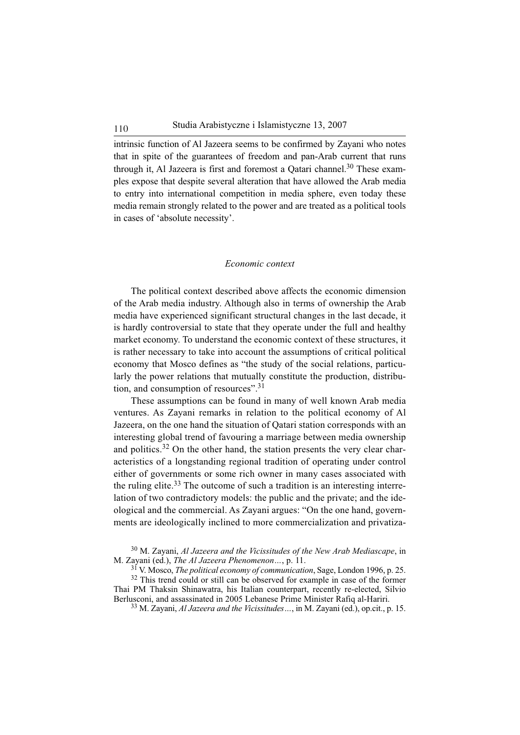intrinsic function of Al Jazeera seems to be confirmed by Zayani who notes that in spite of the guarantees of freedom and pan-Arab current that runs through it, Al Jazeera is first and foremost a Oatari channel.<sup>30</sup> These examples expose that despite several alteration that have allowed the Arab media to entry into international competition in media sphere, even today these media remain strongly related to the power and are treated as a political tools in cases of 'absolute necessity'.

#### *Economic context*

The political context described above affects the economic dimension of the Arab media industry. Although also in terms of ownership the Arab media have experienced significant structural changes in the last decade, it is hardly controversial to state that they operate under the full and healthy market economy. To understand the economic context of these structures, it is rather necessary to take into account the assumptions of critical political economy that Mosco defines as "the study of the social relations, particularly the power relations that mutually constitute the production, distribution, and consumption of resources".<sup>31</sup>

These assumptions can be found in many of well known Arab media ventures. As Zayani remarks in relation to the political economy of Al Jazeera, on the one hand the situation of Qatari station corresponds with an interesting global trend of favouring a marriage between media ownership and politics.<sup>32</sup> On the other hand, the station presents the very clear characteristics of a longstanding regional tradition of operating under control either of governments or some rich owner in many cases associated with the ruling elite.<sup>33</sup> The outcome of such a tradition is an interesting interrelation of two contradictory models: the public and the private; and the ideological and the commercial. As Zayani argues: "On the one hand, governments are ideologically inclined to more commercialization and privatiza-

<sup>30</sup> M. Zayani, *Al Jazeera and the Vicissitudes of the New Arab Mediascape*, in M. Zayani (ed.), *The Al Jazeera Phenomenon…*, p. 11.

<sup>31</sup> V. Mosco, *The political economy of communication*, Sage, London 1996, p. 25.

<sup>32</sup> This trend could or still can be observed for example in case of the former Thai PM Thaksin Shinawatra, his Italian counterpart, recently re-elected, Silvio Berlusconi, and assassinated in 2005 Lebanese Prime Minister Rafiq al-Hariri.

<sup>33</sup> M. Zayani, *Al Jazeera and the Vicissitudes…*, in M. Zayani (ed.), op.cit., p. 15.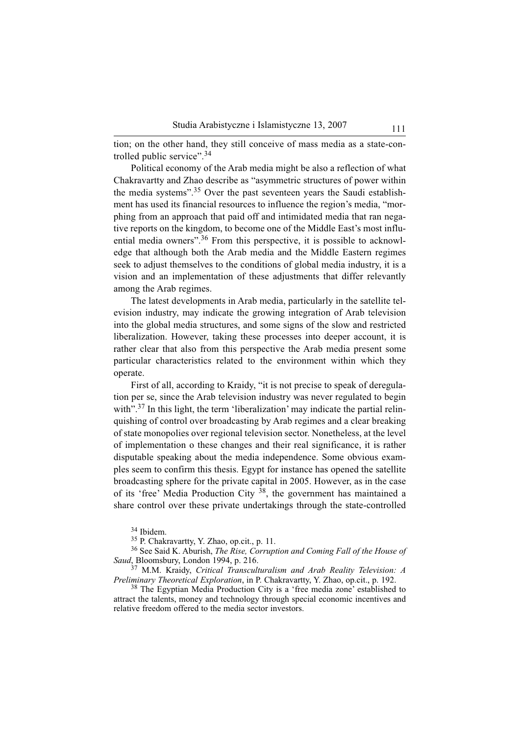tion; on the other hand, they still conceive of mass media as a state-controlled public service".<sup>34</sup>

Political economy of the Arab media might be also a reflection of what Chakravartty and Zhao describe as "asymmetric structures of power within the media systems".<sup>35</sup> Over the past seventeen years the Saudi establishment has used its financial resources to influence the region's media, "morphing from an approach that paid off and intimidated media that ran negative reports on the kingdom, to become one of the Middle East's most influential media owners".<sup>36</sup> From this perspective, it is possible to acknowledge that although both the Arab media and the Middle Eastern regimes seek to adjust themselves to the conditions of global media industry, it is a vision and an implementation of these adjustments that differ relevantly among the Arab regimes.

The latest developments in Arab media, particularly in the satellite television industry, may indicate the growing integration of Arab television into the global media structures, and some signs of the slow and restricted liberalization. However, taking these processes into deeper account, it is rather clear that also from this perspective the Arab media present some particular characteristics related to the environment within which they operate.

First of all, according to Kraidy, "it is not precise to speak of deregulation per se, since the Arab television industry was never regulated to begin with".<sup>37</sup> In this light, the term 'liberalization' may indicate the partial relinquishing of control over broadcasting by Arab regimes and a clear breaking of state monopolies over regional television sector. Nonetheless, at the level of implementation o these changes and their real significance, it is rather disputable speaking about the media independence. Some obvious examples seem to confirm this thesis. Egypt for instance has opened the satellite broadcasting sphere for the private capital in 2005. However, as in the case of its 'free' Media Production City 38, the government has maintained a share control over these private undertakings through the state-controlled

<sup>34</sup> Ibidem.

<sup>35</sup> P. Chakravartty, Y. Zhao, op.cit., p. 11.

<sup>36</sup> See Said K. Aburish, *The Rise, Corruption and Coming Fall of the House of Saud*, Bloomsbury, London 1994, p. 216.

<sup>37</sup> M.M. Kraidy, *Critical Transculturalism and Arab Reality Television: A Preliminary Theoretical Exploration*, in P. Chakravartty, Y. Zhao, op.cit., p. 192.

<sup>38</sup> The Egyptian Media Production City is a 'free media zone' established to attract the talents, money and technology through special economic incentives and relative freedom offered to the media sector investors.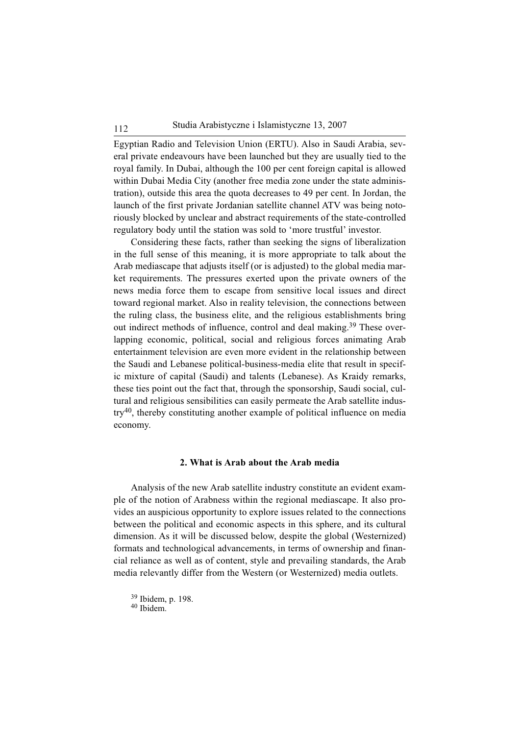Egyptian Radio and Television Union (ERTU). Also in Saudi Arabia, several private endeavours have been launched but they are usually tied to the royal family. In Dubai, although the 100 per cent foreign capital is allowed within Dubai Media City (another free media zone under the state administration), outside this area the quota decreases to 49 per cent. In Jordan, the launch of the first private Jordanian satellite channel ATV was being notoriously blocked by unclear and abstract requirements of the state-controlled regulatory body until the station was sold to 'more trustful' investor.

Considering these facts, rather than seeking the signs of liberalization in the full sense of this meaning, it is more appropriate to talk about the Arab mediascape that adjusts itself (or is adjusted) to the global media market requirements. The pressures exerted upon the private owners of the news media force them to escape from sensitive local issues and direct toward regional market. Also in reality television, the connections between the ruling class, the business elite, and the religious establishments bring out indirect methods of influence, control and deal making.<sup>39</sup> These overlapping economic, political, social and religious forces animating Arab entertainment television are even more evident in the relationship between the Saudi and Lebanese political-business-media elite that result in specific mixture of capital (Saudi) and talents (Lebanese). As Kraidy remarks, these ties point out the fact that, through the sponsorship, Saudi social, cultural and religious sensibilities can easily permeate the Arab satellite industry40, thereby constituting another example of political influence on media economy.

### **2. What is Arab about the Arab media**

Analysis of the new Arab satellite industry constitute an evident example of the notion of Arabness within the regional mediascape. It also provides an auspicious opportunity to explore issues related to the connections between the political and economic aspects in this sphere, and its cultural dimension. As it will be discussed below, despite the global (Westernized) formats and technological advancements, in terms of ownership and financial reliance as well as of content, style and prevailing standards, the Arab media relevantly differ from the Western (or Westernized) media outlets.

<sup>39</sup> Ibidem, p. 198.

<sup>40</sup> Ibidem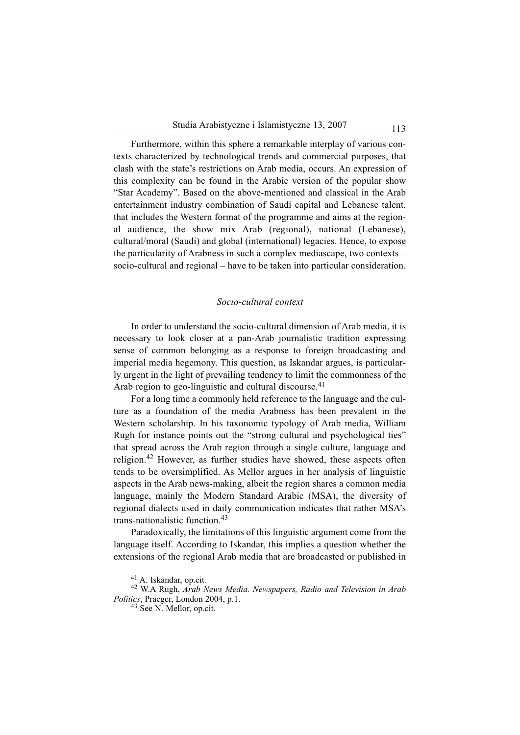Furthermore, within this sphere a remarkable interplay of various contexts characterized by technological trends and commercial purposes, that clash with the state's restrictions on Arab media, occurs. An expression of this complexity can be found in the Arabic version of the popular show "Star Academy". Based on the above-mentioned and classical in the Arab entertainment industry combination of Saudi capital and Lebanese talent, that includes the Western format of the programme and aims at the regional audience, the show mix Arab (regional), national (Lebanese), cultural/moral (Saudi) and global (international) legacies. Hence, to expose the particularity of Arabness in such a complex mediascape, two contexts – socio-cultural and regional – have to be taken into particular consideration.

### *Socio-cultural context*

In order to understand the socio-cultural dimension of Arab media, it is necessary to look closer at a pan-Arab journalistic tradition expressing sense of common belonging as a response to foreign broadcasting and imperial media hegemony. This question, as Iskandar argues, is particularly urgent in the light of prevailing tendency to limit the commonness of the Arab region to geo-linguistic and cultural discourse. $41$ 

For a long time a commonly held reference to the language and the culture as a foundation of the media Arabness has been prevalent in the Western scholarship. In his taxonomic typology of Arab media, William Rugh for instance points out the "strong cultural and psychological ties" that spread across the Arab region through a single culture, language and religion.<sup>42</sup> However, as further studies have showed, these aspects often tends to be oversimplified. As Mellor argues in her analysis of linguistic aspects in the Arab news-making, albeit the region shares a common media language, mainly the Modern Standard Arabic (MSA), the diversity of regional dialects used in daily communication indicates that rather MSA's trans-nationalistic function.<sup>43</sup>

Paradoxically, the limitations of this linguistic argument come from the language itself. According to Iskandar, this implies a question whether the extensions of the regional Arab media that are broadcasted or published in

<sup>41</sup> A. Iskandar, op.cit.

<sup>42</sup> W.A Rugh, *Arab News Media. Newspapers, Radio and Television in Arab Politics*, Praeger, London 2004, p.1.

<sup>43</sup> See N. Mellor, op.cit.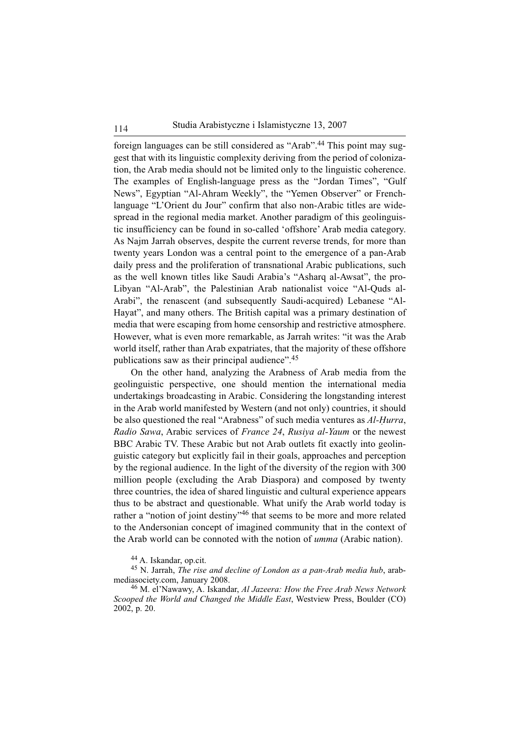foreign languages can be still considered as "Arab".<sup>44</sup> This point may suggest that with its linguistic complexity deriving from the period of colonization, the Arab media should not be limited only to the linguistic coherence. The examples of English-language press as the "Jordan Times", "Gulf News", Egyptian "Al-Ahram Weekly", the "Yemen Observer" or Frenchlanguage "L'Orient du Jour" confirm that also non-Arabic titles are widespread in the regional media market. Another paradigm of this geolinguistic insufficiency can be found in so-called 'offshore' Arab media category. As Najm Jarrah observes, despite the current reverse trends, for more than twenty years London was a central point to the emergence of a pan-Arab daily press and the proliferation of transnational Arabic publications, such as the well known titles like Saudi Arabia's "Asharq al-Awsat", the pro-Libyan "Al-Arab", the Palestinian Arab nationalist voice "Al-Quds al-Arabi", the renascent (and subsequently Saudi-acquired) Lebanese "Al-Hayat", and many others. The British capital was a primary destination of media that were escaping from home censorship and restrictive atmosphere. However, what is even more remarkable, as Jarrah writes: "it was the Arab world itself, rather than Arab expatriates, that the majority of these offshore publications saw as their principal audience".<sup>45</sup>

On the other hand, analyzing the Arabness of Arab media from the geolinguistic perspective, one should mention the international media undertakings broadcasting in Arabic. Considering the longstanding interest in the Arab world manifested by Western (and not only) countries, it should be also questioned the real "Arabness" of such media ventures as *Al-Hurra*, *Radio Sawa*, Arabic services of *France 24*, *Rusiya al-Yaum* or the newest BBC Arabic TV. These Arabic but not Arab outlets fit exactly into geolinguistic category but explicitly fail in their goals, approaches and perception by the regional audience. In the light of the diversity of the region with 300 million people (excluding the Arab Diaspora) and composed by twenty three countries, the idea of shared linguistic and cultural experience appears thus to be abstract and questionable. What unify the Arab world today is rather a "notion of joint destiny"<sup>46</sup> that seems to be more and more related to the Andersonian concept of imagined community that in the context of the Arab world can be connoted with the notion of *umma* (Arabic nation).

<sup>44</sup> A. Iskandar, op.cit.

<sup>45</sup> N. Jarrah, *The rise and decline of London as a pan-Arab media hub*, arabmediasociety.com, January 2008.

<sup>46</sup> M. el'Nawawy, A. Iskandar, *Al Jazeera: How the Free Arab News Network Scooped the World and Changed the Middle East*, Westview Press, Boulder (CO) 2002, p. 20.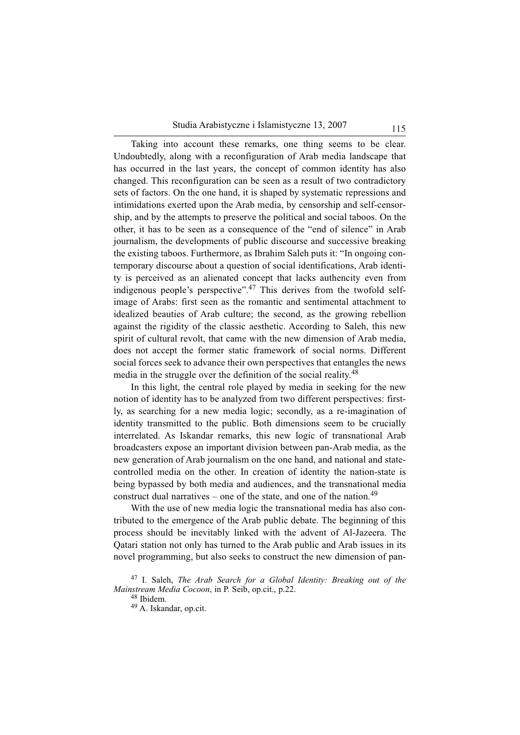Taking into account these remarks, one thing seems to be clear. Undoubtedly, along with a reconfiguration of Arab media landscape that has occurred in the last years, the concept of common identity has also changed. This reconfiguration can be seen as a result of two contradictory sets of factors. On the one hand, it is shaped by systematic repressions and intimidations exerted upon the Arab media, by censorship and self-censorship, and by the attempts to preserve the political and social taboos. On the other, it has to be seen as a consequence of the "end of silence" in Arab journalism, the developments of public discourse and successive breaking the existing taboos. Furthermore, as Ibrahim Saleh puts it: "In ongoing contemporary discourse about a question of social identifications, Arab identity is perceived as an alienated concept that lacks authencity even from indigenous people's perspective".<sup>47</sup> This derives from the twofold selfimage of Arabs: first seen as the romantic and sentimental attachment to idealized beauties of Arab culture; the second, as the growing rebellion against the rigidity of the classic aesthetic. According to Saleh, this new spirit of cultural revolt, that came with the new dimension of Arab media, does not accept the former static framework of social norms. Different social forces seek to advance their own perspectives that entangles the news media in the struggle over the definition of the social reality.<sup>48</sup>

In this light, the central role played by media in seeking for the new notion of identity has to be analyzed from two different perspectives: firstly, as searching for a new media logic; secondly, as a re-imagination of identity transmitted to the public. Both dimensions seem to be crucially interrelated. As Iskandar remarks, this new logic of transnational Arab broadcasters expose an important division between pan-Arab media, as the new generation of Arab journalism on the one hand, and national and statecontrolled media on the other. In creation of identity the nation-state is being bypassed by both media and audiences, and the transnational media construct dual narratives – one of the state, and one of the nation.<sup>49</sup>

With the use of new media logic the transnational media has also contributed to the emergence of the Arab public debate. The beginning of this process should be inevitably linked with the advent of Al-Jazeera. The Qatari station not only has turned to the Arab public and Arab issues in its novel programming, but also seeks to construct the new dimension of pan-

<sup>47</sup> I. Saleh, *The Arab Search for a Global Identity: Breaking out of the Mainstream Media Cocoon*, in P. Seib, op.cit., p.22.

<sup>48</sup> Ibidem.

<sup>49</sup> A. Iskandar, op.cit.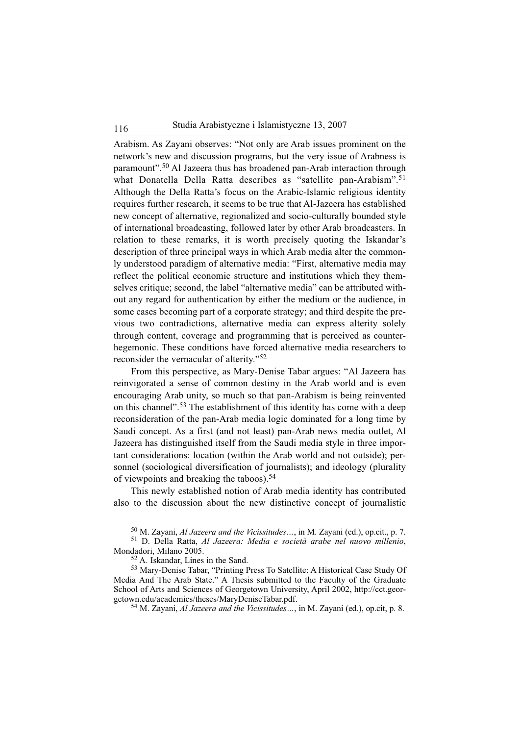Arabism. As Zayani observes: "Not only are Arab issues prominent on the network's new and discussion programs, but the very issue of Arabness is paramount".<sup>50</sup> Al Jazeera thus has broadened pan-Arab interaction through what Donatella Della Ratta describes as "satellite pan-Arabism".<sup>51</sup> Although the Della Ratta's focus on the Arabic-Islamic religious identity requires further research, it seems to be true that Al-Jazeera has established new concept of alternative, regionalized and socio-culturally bounded style of international broadcasting, followed later by other Arab broadcasters. In relation to these remarks, it is worth precisely quoting the Iskandar's description of three principal ways in which Arab media alter the commonly understood paradigm of alternative media: "First, alternative media may reflect the political economic structure and institutions which they themselves critique; second, the label "alternative media" can be attributed without any regard for authentication by either the medium or the audience, in some cases becoming part of a corporate strategy; and third despite the previous two contradictions, alternative media can express alterity solely through content, coverage and programming that is perceived as counterhegemonic. These conditions have forced alternative media researchers to reconsider the vernacular of alterity."<sup>52</sup>

From this perspective, as Mary-Denise Tabar argues: "Al Jazeera has reinvigorated a sense of common destiny in the Arab world and is even encouraging Arab unity, so much so that pan-Arabism is being reinvented on this channel".<sup>53</sup> The establishment of this identity has come with a deep reconsideration of the pan-Arab media logic dominated for a long time by Saudi concept. As a first (and not least) pan-Arab news media outlet, Al Jazeera has distinguished itself from the Saudi media style in three important considerations: location (within the Arab world and not outside); personnel (sociological diversification of journalists); and ideology (plurality of viewpoints and breaking the taboos).<sup>54</sup>

This newly established notion of Arab media identity has contributed also to the discussion about the new distinctive concept of journalistic

<sup>50</sup> M. Zayani, *Al Jazeera and the Vicissitudes…*, in M. Zayani (ed.), op.cit., p. 7.

<sup>51</sup> D. Della Ratta, *Al Jazeera: Media e società arabe nel nuovo millenio*, Mondadori, Milano 2005.

<sup>52</sup> A. Iskandar, Lines in the Sand.

<sup>53</sup> Mary-Denise Tabar, "Printing Press To Satellite: A Historical Case Study Of Media And The Arab State." A Thesis submitted to the Faculty of the Graduate School of Arts and Sciences of Georgetown University, April 2002, http://cct.georgetown.edu/academics/theses/MaryDeniseTabar.pdf.

<sup>54</sup> M. Zayani, *Al Jazeera and the Vicissitudes…*, in M. Zayani (ed.), op.cit, p. 8.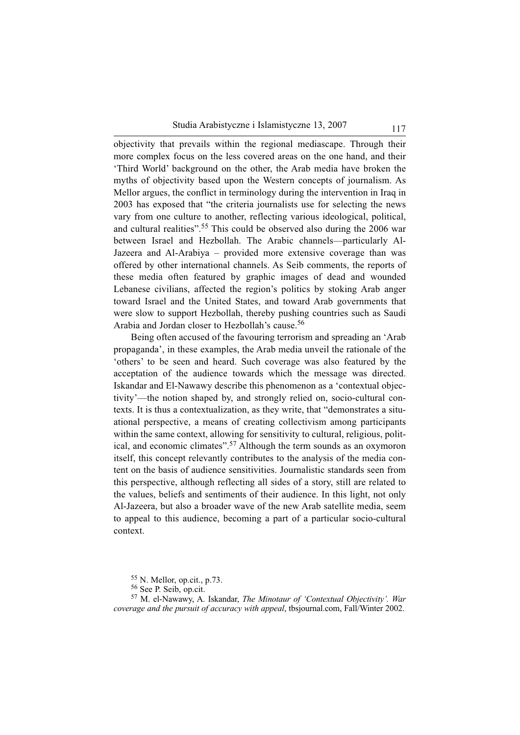objectivity that prevails within the regional mediascape. Through their more complex focus on the less covered areas on the one hand, and their 'Third World' background on the other, the Arab media have broken the myths of objectivity based upon the Western concepts of journalism. As Mellor argues, the conflict in terminology during the intervention in Iraq in 2003 has exposed that "the criteria journalists use for selecting the news vary from one culture to another, reflecting various ideological, political, and cultural realities".<sup>55</sup> This could be observed also during the 2006 war between Israel and Hezbollah. The Arabic channels—particularly Al-Jazeera and Al-Arabiya – provided more extensive coverage than was offered by other international channels. As Seib comments, the reports of these media often featured by graphic images of dead and wounded Lebanese civilians, affected the region's politics by stoking Arab anger toward Israel and the United States, and toward Arab governments that were slow to support Hezbollah, thereby pushing countries such as Saudi Arabia and Jordan closer to Hezbollah's cause.<sup>56</sup>

Being often accused of the favouring terrorism and spreading an 'Arab propaganda', in these examples, the Arab media unveil the rationale of the 'others' to be seen and heard. Such coverage was also featured by the acceptation of the audience towards which the message was directed. Iskandar and El-Nawawy describe this phenomenon as a 'contextual objectivity'—the notion shaped by, and strongly relied on, socio-cultural contexts. It is thus a contextualization, as they write, that "demonstrates a situational perspective, a means of creating collectivism among participants within the same context, allowing for sensitivity to cultural, religious, political, and economic climates".<sup>57</sup> Although the term sounds as an oxymoron itself, this concept relevantly contributes to the analysis of the media content on the basis of audience sensitivities. Journalistic standards seen from this perspective, although reflecting all sides of a story, still are related to the values, beliefs and sentiments of their audience. In this light, not only Al-Jazeera, but also a broader wave of the new Arab satellite media, seem to appeal to this audience, becoming a part of a particular socio-cultural context.

<sup>55</sup> N. Mellor, op.cit., p.73.

<sup>56</sup> See P. Seib, op.cit.

<sup>57</sup> M. el-Nawawy, A. Iskandar, *The Minotaur of 'Contextual Objectivity'. War coverage and the pursuit of accuracy with appeal*, tbsjournal.com, Fall/Winter 2002.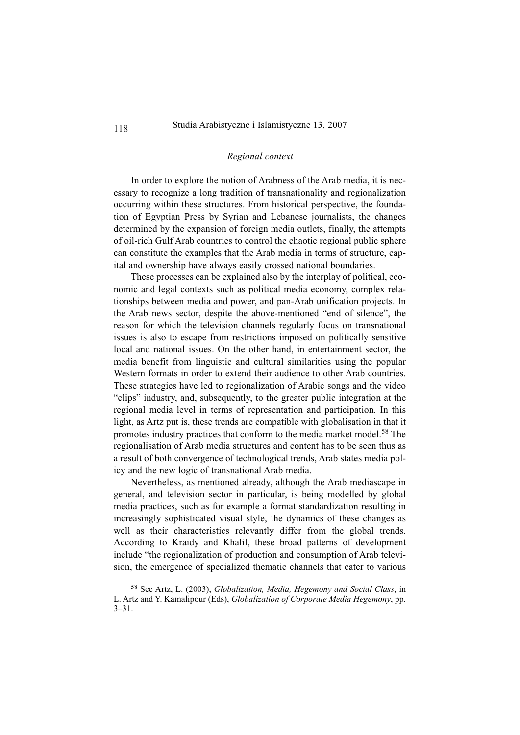### *Regional context*

In order to explore the notion of Arabness of the Arab media, it is necessary to recognize a long tradition of transnationality and regionalization occurring within these structures. From historical perspective, the foundation of Egyptian Press by Syrian and Lebanese journalists, the changes determined by the expansion of foreign media outlets, finally, the attempts of oil-rich Gulf Arab countries to control the chaotic regional public sphere can constitute the examples that the Arab media in terms of structure, capital and ownership have always easily crossed national boundaries.

These processes can be explained also by the interplay of political, economic and legal contexts such as political media economy, complex relationships between media and power, and pan-Arab unification projects. In the Arab news sector, despite the above-mentioned "end of silence", the reason for which the television channels regularly focus on transnational issues is also to escape from restrictions imposed on politically sensitive local and national issues. On the other hand, in entertainment sector, the media benefit from linguistic and cultural similarities using the popular Western formats in order to extend their audience to other Arab countries. These strategies have led to regionalization of Arabic songs and the video "clips" industry, and, subsequently, to the greater public integration at the regional media level in terms of representation and participation. In this light, as Artz put is, these trends are compatible with globalisation in that it promotes industry practices that conform to the media market model.<sup>58</sup> The regionalisation of Arab media structures and content has to be seen thus as a result of both convergence of technological trends, Arab states media policy and the new logic of transnational Arab media.

Nevertheless, as mentioned already, although the Arab mediascape in general, and television sector in particular, is being modelled by global media practices, such as for example a format standardization resulting in increasingly sophisticated visual style, the dynamics of these changes as well as their characteristics relevantly differ from the global trends. According to Kraidy and Khalil, these broad patterns of development include "the regionalization of production and consumption of Arab television, the emergence of specialized thematic channels that cater to various

<sup>58</sup> See Artz, L. (2003), *Globalization, Media, Hegemony and Social Class*, in L. Artz and Y. Kamalipour (Eds), *Globalization of Corporate Media Hegemony*, pp. 3–31.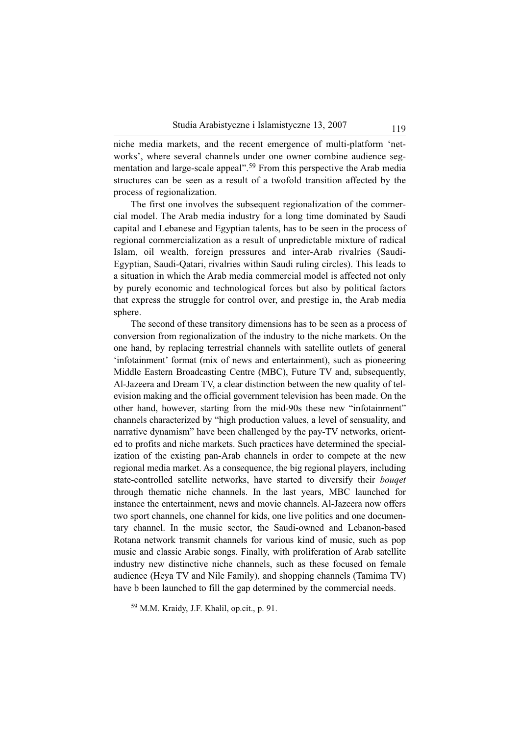niche media markets, and the recent emergence of multi-platform 'networks', where several channels under one owner combine audience segmentation and large-scale appeal".<sup>59</sup> From this perspective the Arab media structures can be seen as a result of a twofold transition affected by the process of regionalization.

The first one involves the subsequent regionalization of the commercial model. The Arab media industry for a long time dominated by Saudi capital and Lebanese and Egyptian talents, has to be seen in the process of regional commercialization as a result of unpredictable mixture of radical Islam, oil wealth, foreign pressures and inter-Arab rivalries (Saudi-Egyptian, Saudi-Qatari, rivalries within Saudi ruling circles). This leads to a situation in which the Arab media commercial model is affected not only by purely economic and technological forces but also by political factors that express the struggle for control over, and prestige in, the Arab media sphere.

The second of these transitory dimensions has to be seen as a process of conversion from regionalization of the industry to the niche markets. On the one hand, by replacing terrestrial channels with satellite outlets of general 'infotainment' format (mix of news and entertainment), such as pioneering Middle Eastern Broadcasting Centre (MBC), Future TV and, subsequently, Al-Jazeera and Dream TV, a clear distinction between the new quality of television making and the official government television has been made. On the other hand, however, starting from the mid-90s these new "infotainment" channels characterized by "high production values, a level of sensuality, and narrative dynamism" have been challenged by the pay-TV networks, oriented to profits and niche markets. Such practices have determined the specialization of the existing pan-Arab channels in order to compete at the new regional media market. As a consequence, the big regional players, including state-controlled satellite networks, have started to diversify their *bouqet* through thematic niche channels. In the last years, MBC launched for instance the entertainment, news and movie channels. Al-Jazeera now offers two sport channels, one channel for kids, one live politics and one documentary channel. In the music sector, the Saudi-owned and Lebanon-based Rotana network transmit channels for various kind of music, such as pop music and classic Arabic songs. Finally, with proliferation of Arab satellite industry new distinctive niche channels, such as these focused on female audience (Heya TV and Nile Family), and shopping channels (Tamima TV) have b been launched to fill the gap determined by the commercial needs.

<sup>59</sup> M.M. Kraidy, J.F. Khalil, op.cit., p. 91.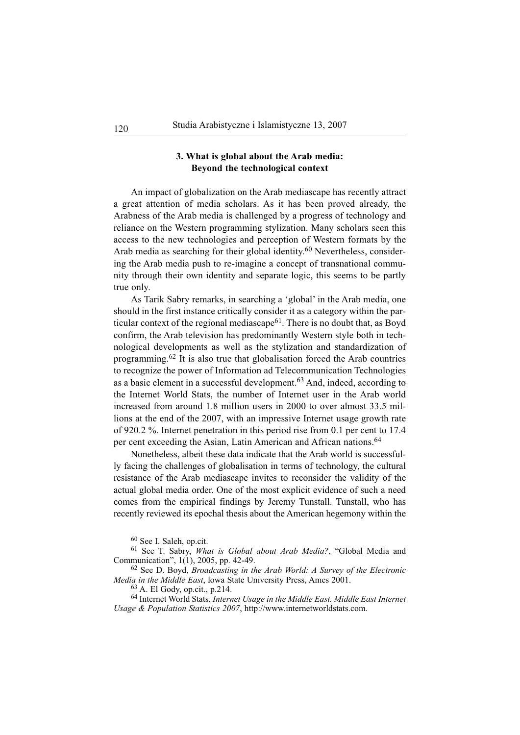# **3. What is global about the Arab media: Beyond the technological context**

An impact of globalization on the Arab mediascape has recently attract a great attention of media scholars. As it has been proved already, the Arabness of the Arab media is challenged by a progress of technology and reliance on the Western programming stylization. Many scholars seen this access to the new technologies and perception of Western formats by the Arab media as searching for their global identity.<sup>60</sup> Nevertheless, considering the Arab media push to re-imagine a concept of transnational community through their own identity and separate logic, this seems to be partly true only.

As Tarik Sabry remarks, in searching a 'global' in the Arab media, one should in the first instance critically consider it as a category within the particular context of the regional mediascape<sup>61</sup>. There is no doubt that, as Boyd confirm, the Arab television has predominantly Western style both in technological developments as well as the stylization and standardization of programming.<sup>62</sup> It is also true that globalisation forced the Arab countries to recognize the power of Information ad Telecommunication Technologies as a basic element in a successful development.<sup>63</sup> And, indeed, according to the Internet World Stats, the number of Internet user in the Arab world increased from around 1.8 million users in 2000 to over almost 33.5 millions at the end of the 2007, with an impressive Internet usage growth rate of 920.2 %. Internet penetration in this period rise from 0.1 per cent to 17.4 per cent exceeding the Asian, Latin American and African nations.<sup>64</sup>

Nonetheless, albeit these data indicate that the Arab world is successfully facing the challenges of globalisation in terms of technology, the cultural resistance of the Arab mediascape invites to reconsider the validity of the actual global media order. One of the most explicit evidence of such a need comes from the empirical findings by Jeremy Tunstall. Tunstall, who has recently reviewed its epochal thesis about the American hegemony within the

<sup>60</sup> See I. Saleh, op.cit.

<sup>61</sup> See T. Sabry, *What is Global about Arab Media?*, "Global Media and Communication", 1(1), 2005, pp. 42-49.

<sup>62</sup> See D. Boyd, *Broadcasting in the Arab World: A Survey of the Electronic Media in the Middle East*, lowa State University Press, Ames 2001.

<sup>63</sup> A. El Gody, op.cit., p.214.

<sup>64</sup> Internet World Stats, *Internet Usage in the Middle East. Middle East Internet Usage & Population Statistics 2007*, http://www.internetworldstats.com.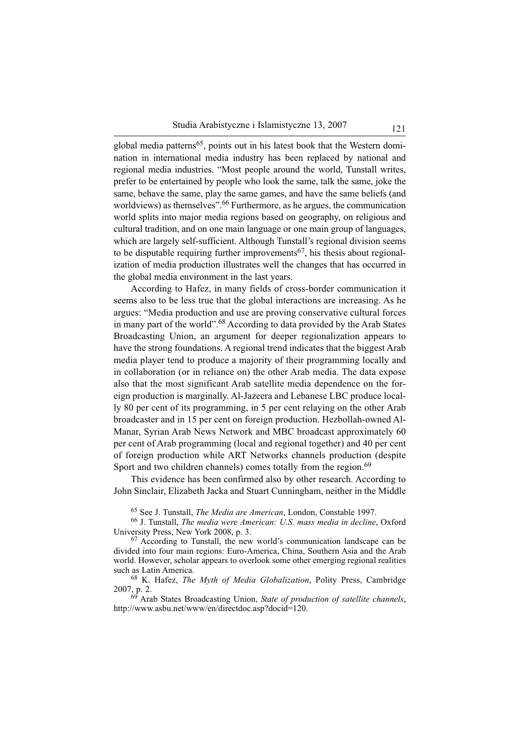global media patterns<sup>65</sup>, points out in his latest book that the Western domination in international media industry has been replaced by national and regional media industries. "Most people around the world, Tunstall writes, prefer to be entertained by people who look the same, talk the same, joke the same, behave the same, play the same games, and have the same beliefs (and worldviews) as themselves".<sup>66</sup> Furthermore, as he argues, the communication world splits into major media regions based on geography, on religious and cultural tradition, and on one main language or one main group of languages, which are largely self-sufficient. Although Tunstall's regional division seems to be disputable requiring further improvements<sup>67</sup>, his thesis about regionalization of media production illustrates well the changes that has occurred in the global media environment in the last years.

According to Hafez, in many fields of cross-border communication it seems also to be less true that the global interactions are increasing. As he argues: "Media production and use are proving conservative cultural forces in many part of the world".<sup>68</sup> According to data provided by the Arab States Broadcasting Union, an argument for deeper regionalization appears to have the strong foundations. A regional trend indicates that the biggest Arab media player tend to produce a majority of their programming locally and in collaboration (or in reliance on) the other Arab media. The data expose also that the most significant Arab satellite media dependence on the foreign production is marginally. Al-Jazeera and Lebanese LBC produce locally 80 per cent of its programming, in 5 per cent relaying on the other Arab broadcaster and in 15 per cent on foreign production. Hezbollah-owned Al-Manar, Syrian Arab News Network and MBC broadcast approximately 60 per cent of Arab programming (local and regional together) and 40 per cent of foreign production while ART Networks channels production (despite Sport and two children channels) comes totally from the region.<sup>69</sup>

This evidence has been confirmed also by other research. According to John Sinclair, Elizabeth Jacka and Stuart Cunningham, neither in the Middle

<sup>65</sup> See J. Tunstall, *The Media are American*, London, Constable 1997.

<sup>66</sup> J. Tunstall, *The media were American: U.S. mass media in decline*, Oxford University Press, New York 2008, p. 3.

 $67$  According to Tunstall, the new world's communication landscape can be divided into four main regions: Euro-America, China, Southern Asia and the Arab world. However, scholar appears to overlook some other emerging regional realities such as Latin America.

<sup>68</sup> K. Hafez, *The Myth of Media Globalization*, Polity Press, Cambridge  $2007, p. 2.$ 

<sup>69</sup> Arab States Broadcasting Union, *State of production of satellite channels*, http://www.asbu.net/www/en/directdoc.asp?docid=120.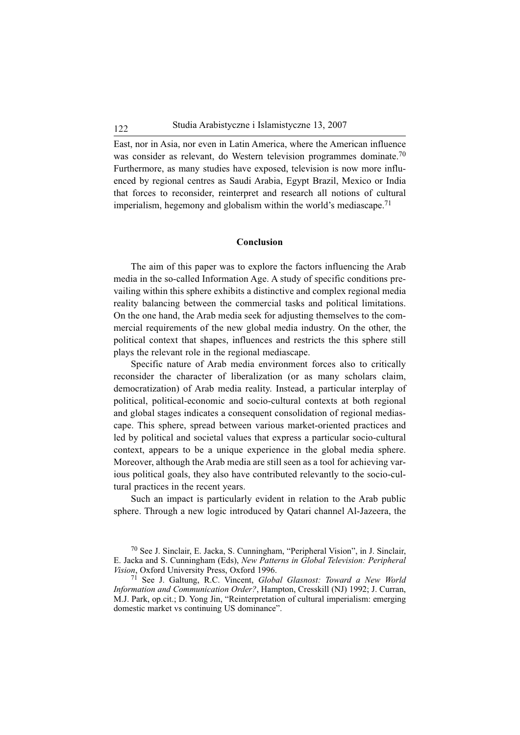East, nor in Asia, nor even in Latin America, where the American influence was consider as relevant, do Western television programmes dominate.<sup>70</sup> Furthermore, as many studies have exposed, television is now more influenced by regional centres as Saudi Arabia, Egypt Brazil, Mexico or India that forces to reconsider, reinterpret and research all notions of cultural imperialism, hegemony and globalism within the world's mediascape.<sup>71</sup>

#### **Conclusion**

The aim of this paper was to explore the factors influencing the Arab media in the so-called Information Age. A study of specific conditions prevailing within this sphere exhibits a distinctive and complex regional media reality balancing between the commercial tasks and political limitations. On the one hand, the Arab media seek for adjusting themselves to the commercial requirements of the new global media industry. On the other, the political context that shapes, influences and restricts the this sphere still plays the relevant role in the regional mediascape.

Specific nature of Arab media environment forces also to critically reconsider the character of liberalization (or as many scholars claim, democratization) of Arab media reality. Instead, a particular interplay of political, political-economic and socio-cultural contexts at both regional and global stages indicates a consequent consolidation of regional mediascape. This sphere, spread between various market-oriented practices and led by political and societal values that express a particular socio-cultural context, appears to be a unique experience in the global media sphere. Moreover, although the Arab media are still seen as a tool for achieving various political goals, they also have contributed relevantly to the socio-cultural practices in the recent years.

Such an impact is particularly evident in relation to the Arab public sphere. Through a new logic introduced by Qatari channel Al-Jazeera, the

<sup>70</sup> See J. Sinclair, E. Jacka, S. Cunningham, "Peripheral Vision", in J. Sinclair, E. Jacka and S. Cunningham (Eds), *New Patterns in Global Television: Peripheral Vision*, Oxford University Press, Oxford 1996.

<sup>71</sup> See J. Galtung, R.C. Vincent, *Global Glasnost: Toward a New World Information and Communication Order?*, Hampton, Cresskill (NJ) 1992; J. Curran, M.J. Park, op.cit.; D. Yong Jin, "Reinterpretation of cultural imperialism: emerging domestic market vs continuing US dominance".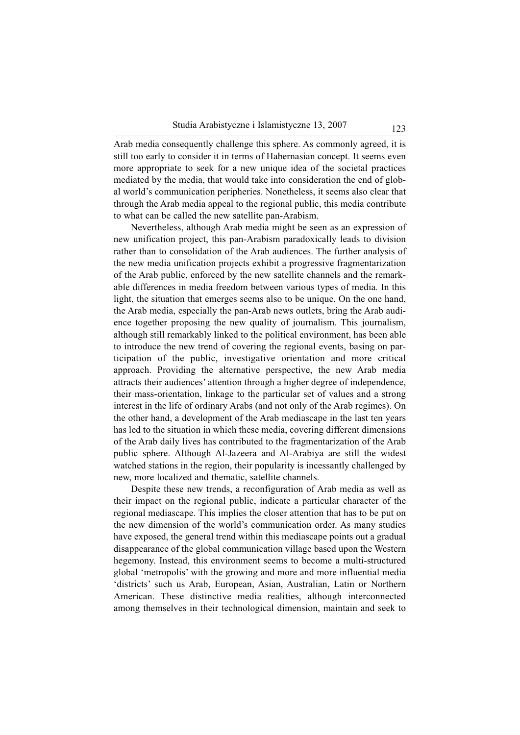Arab media consequently challenge this sphere. As commonly agreed, it is still too early to consider it in terms of Habernasian concept. It seems even more appropriate to seek for a new unique idea of the societal practices mediated by the media, that would take into consideration the end of global world's communication peripheries. Nonetheless, it seems also clear that through the Arab media appeal to the regional public, this media contribute to what can be called the new satellite pan-Arabism.

Nevertheless, although Arab media might be seen as an expression of new unification project, this pan-Arabism paradoxically leads to division rather than to consolidation of the Arab audiences. The further analysis of the new media unification projects exhibit a progressive fragmentarization of the Arab public, enforced by the new satellite channels and the remarkable differences in media freedom between various types of media. In this light, the situation that emerges seems also to be unique. On the one hand, the Arab media, especially the pan-Arab news outlets, bring the Arab audience together proposing the new quality of journalism. This journalism, although still remarkably linked to the political environment, has been able to introduce the new trend of covering the regional events, basing on participation of the public, investigative orientation and more critical approach. Providing the alternative perspective, the new Arab media attracts their audiences' attention through a higher degree of independence, their mass-orientation, linkage to the particular set of values and a strong interest in the life of ordinary Arabs (and not only of the Arab regimes). On the other hand, a development of the Arab mediascape in the last ten years has led to the situation in which these media, covering different dimensions of the Arab daily lives has contributed to the fragmentarization of the Arab public sphere. Although Al-Jazeera and Al-Arabiya are still the widest watched stations in the region, their popularity is incessantly challenged by new, more localized and thematic, satellite channels.

Despite these new trends, a reconfiguration of Arab media as well as their impact on the regional public, indicate a particular character of the regional mediascape. This implies the closer attention that has to be put on the new dimension of the world's communication order. As many studies have exposed, the general trend within this mediascape points out a gradual disappearance of the global communication village based upon the Western hegemony. Instead, this environment seems to become a multi-structured global 'metropolis' with the growing and more and more influential media 'districts' such us Arab, European, Asian, Australian, Latin or Northern American. These distinctive media realities, although interconnected among themselves in their technological dimension, maintain and seek to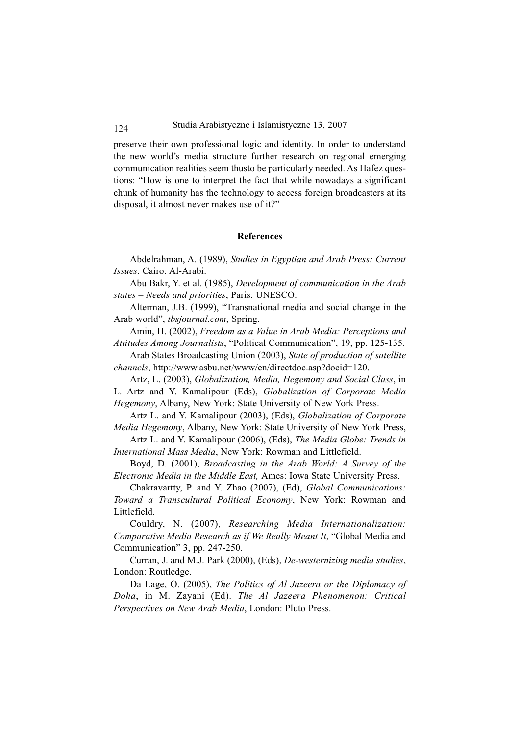preserve their own professional logic and identity. In order to understand the new world's media structure further research on regional emerging communication realities seem thusto be particularly needed. As Hafez questions: "How is one to interpret the fact that while nowadays a significant chunk of humanity has the technology to access foreign broadcasters at its disposal, it almost never makes use of it?"

#### **References**

Abdelrahman, A. (1989), *Studies in Egyptian and Arab Press: Current Issues*. Cairo: Al-Arabi.

Abu Bakr, Y. et al. (1985), *Development of communication in the Arab states – Needs and priorities*, Paris: UNESCO.

Alterman, J.B. (1999), "Transnational media and social change in the Arab world", *tbsjournal.com*, Spring.

Amin, H. (2002), *Freedom as a Value in Arab Media: Perceptions and Attitudes Among Journalists*, "Political Communication", 19, pp. 125-135.

Arab States Broadcasting Union (2003), *State of production of satellite channels*, http://www.asbu.net/www/en/directdoc.asp?docid=120.

Artz, L. (2003), *Globalization, Media, Hegemony and Social Class*, in L. Artz and Y. Kamalipour (Eds), *Globalization of Corporate Media Hegemony*, Albany, New York: State University of New York Press.

Artz L. and Y. Kamalipour (2003), (Eds), *Globalization of Corporate Media Hegemony*, Albany, New York: State University of New York Press,

Artz L. and Y. Kamalipour (2006), (Eds), *The Media Globe: Trends in International Mass Media*, New York: Rowman and Littlefield.

Boyd, D. (2001), *Broadcasting in the Arab World: A Survey of the Electronic Media in the Middle East,* Ames: Iowa State University Press.

Chakravartty, P. and Y. Zhao (2007), (Ed), *Global Communications: Toward a Transcultural Political Economy*, New York: Rowman and Littlefield.

Couldry, N. (2007), *Researching Media Internationalization: Comparative Media Research as if We Really Meant It*, "Global Media and Communication" 3, pp. 247-250.

Curran, J. and M.J. Park (2000), (Eds), *De-westernizing media studies*, London: Routledge.

Da Lage, O. (2005), *The Politics of Al Jazeera or the Diplomacy of Doha*, in M. Zayani (Ed). *The Al Jazeera Phenomenon: Critical Perspectives on New Arab Media*, London: Pluto Press.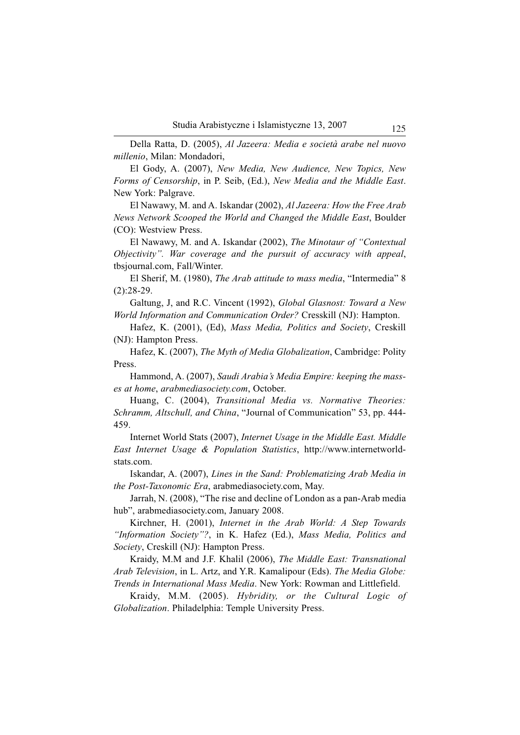Della Ratta, D. (2005), *Al Jazeera: Media e società arabe nel nuovo millenio*, Milan: Mondadori,

El Gody, A. (2007), *New Media, New Audience, New Topics, New Forms of Censorship*, in P. Seib, (Ed.), *New Media and the Middle East*. New York: Palgrave.

El Nawawy, M. and A. Iskandar (2002), *Al Jazeera: How the Free Arab News Network Scooped the World and Changed the Middle East*, Boulder (CO): Westview Press.

El Nawawy, M. and A. Iskandar (2002), *The Minotaur of "Contextual Objectivity". War coverage and the pursuit of accuracy with appeal*, tbsjournal.com, Fall/Winter.

El Sherif, M. (1980), *The Arab attitude to mass media*, "Intermedia" 8 (2):28-29.

Galtung, J, and R.C. Vincent (1992), *Global Glasnost: Toward a New World Information and Communication Order?* Cresskill (NJ): Hampton.

Hafez, K. (2001), (Ed), *Mass Media, Politics and Society*, Creskill (NJ): Hampton Press.

Hafez, K. (2007), *The Myth of Media Globalization*, Cambridge: Polity Press.

Hammond, A. (2007), *Saudi Arabia's Media Empire: keeping the masses at home*, *arabmediasociety.com*, October.

Huang, C. (2004), *Transitional Media vs. Normative Theories: Schramm, Altschull, and China*, "Journal of Communication" 53, pp. 444- 459.

Internet World Stats (2007), *Internet Usage in the Middle East. Middle East Internet Usage & Population Statistics*, http://www.internetworldstats.com.

Iskandar, A. (2007), *Lines in the Sand: Problematizing Arab Media in the Post-Taxonomic Era*, arabmediasociety.com, May.

Jarrah, N. (2008), "The rise and decline of London as a pan-Arab media hub", arabmediasociety.com, January 2008.

Kirchner, H. (2001), *Internet in the Arab World: A Step Towards "Information Society"?*, in K. Hafez (Ed.), *Mass Media, Politics and Society*, Creskill (NJ): Hampton Press.

Kraidy, M.M and J.F. Khalil (2006), *The Middle East: Transnational Arab Television*, in L. Artz, and Y.R. Kamalipour (Eds). *The Media Globe: Trends in International Mass Media*. New York: Rowman and Littlefield.

Kraidy, M.M. (2005). *Hybridity, or the Cultural Logic of Globalization*. Philadelphia: Temple University Press.